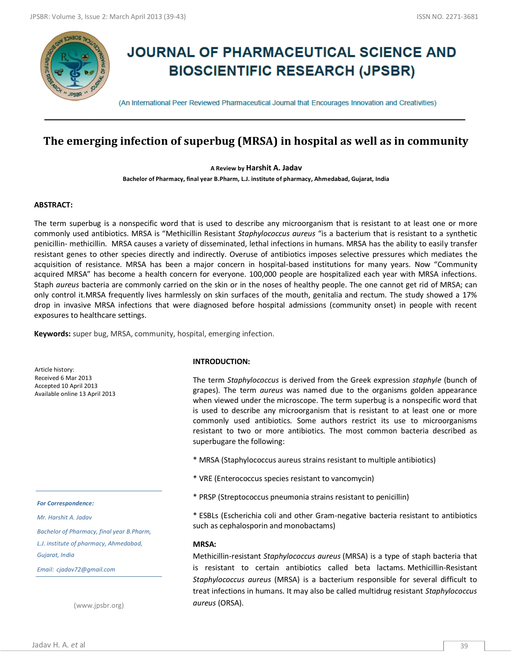

# **JOURNAL OF PHARMACEUTICAL SCIENCE AND BIOSCIENTIFIC RESEARCH (JPSBR)**

(An International Peer Reviewed Pharmaceutical Journal that Encourages Innovation and Creativities)

# **The emerging infection of superbug (MRSA) in hospital as well as in community**

**A Review by Harshit A. Jadav**

**Bachelor of Pharmacy, final year B.Pharm, L.J. institute of pharmacy, Ahmedabad, Gujarat, India**

# **ABSTRACT:**

The term superbug is a nonspecific word that is used to describe any microorganism that is resistant to at least one or more commonly used antibiotics. MRSA is "Methicillin Resistant *Staphylococcus aureus* "is a bacterium that is resistant to a synthetic penicillin- methicillin. MRSA causes a variety of disseminated, lethal infections in humans. MRSA has the ability to easily transfer resistant genes to other species directly and indirectly. Overuse of antibiotics imposes selective pressures which mediates the acquisition of resistance. MRSA has been a major concern in hospital-based institutions for many years. Now "Community acquired MRSA" has become a health concern for everyone. 100,000 people are hospitalized each year with MRSA infections. Staph *aureus* bacteria are commonly carried on the skin or in the noses of healthy people. The one cannot get rid of MRSA; can only control it.MRSA frequently lives harmlessly on skin surfaces of the mouth, genitalia and rectum. The study showed a 17% drop in invasive MRSA infections that were diagnosed before hospital admissions (community onset) in people with recent exposures to healthcare settings.

**Keywords:** super bug, MRSA, community, hospital, emerging infection.

Article history: Received 6 Mar 2013 Accepted 10 April 2013 Available online 13 April 2013

#### *For Correspondence:*

*Mr. Harshit A. Jadav*

*Bachelor of Pharmacy, final year B.Pharm,* 

*L.J. institute of pharmacy, Ahmedabad,* 

*Gujarat, India*

*Email: cjadav72@gmail.com*

(www.jpsbr.org)

#### **INTRODUCTION:**

The term *Staphylococcus* is derived from the Greek expression *staphyle* (bunch of grapes). The term *aureus* was named due to the organisms golden appearance when viewed under the microscope. The term superbug is a nonspecific word that is used to describe any microorganism that is resistant to at least one or more commonly used antibiotics. Some authors restrict its use to microorganisms resistant to two or more antibiotics. The most common bacteria described as superbugare the following:

- \* MRSA (Staphylococcus aureus strains resistant to multiple antibiotics)
- \* VRE (Enterococcus species resistant to vancomycin)
- \* PRSP (Streptococcus pneumonia strains resistant to penicillin)

\* ESBLs (Escherichia coli and other Gram-negative bacteria resistant to antibiotics such as cephalosporin and monobactams)

#### **MRSA:**

Methicillin-resistant *Staphylococcus aureus* (MRSA) is a type of staph bacteria that is resistant to certain antibiotics called beta lactams. Methicillin-Resistant *Staphylococcus aureus* (MRSA) is a bacterium responsible for several difficult to treat infections in humans. It may also be called multidrug resistant *Staphylococcus aureus* (ORSA).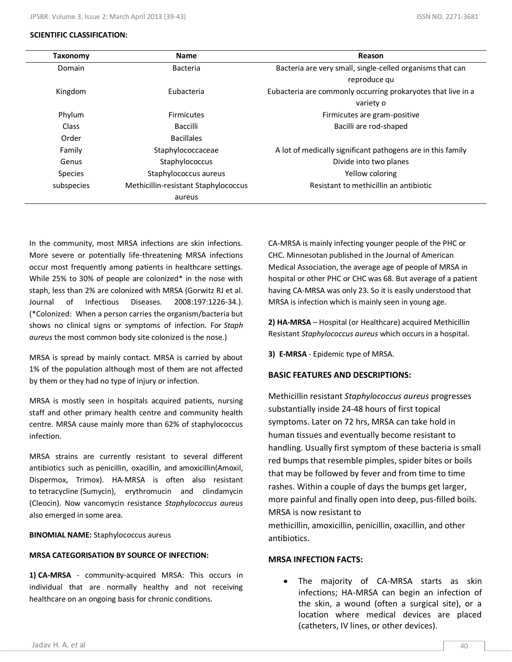#### **SCIENTIFIC CLASSIFICATION:**

| Taxonomy       | <b>Name</b>                          | Reason                                                       |
|----------------|--------------------------------------|--------------------------------------------------------------|
| Domain         | <b>Bacteria</b>                      | Bacteria are very small, single-celled organisms that can    |
|                |                                      | reproduce qu                                                 |
| Kingdom        | Eubacteria                           | Eubacteria are commonly occurring prokaryotes that live in a |
|                |                                      | variety o                                                    |
| Phylum         | <b>Firmicutes</b>                    | Firmicutes are gram-positive                                 |
| <b>Class</b>   | Baccilli                             | Bacilli are rod-shaped                                       |
| Order          | <b>Bacillales</b>                    |                                                              |
| Family         | Staphylococcaceae                    | A lot of medically significant pathogens are in this family  |
| Genus          | Staphylococcus                       | Divide into two planes                                       |
| <b>Species</b> | Staphylococcus aureus                | Yellow coloring                                              |
| subspecies     | Methicillin-resistant Staphylococcus | Resistant to methicillin an antibiotic                       |
|                | aureus                               |                                                              |

In the community, most MRSA infections are skin infections. More severe or potentially life-threatening MRSA infections occur most frequently among patients in healthcare settings. While 25% to 30% of people are colonized\* in the nose with staph, less than 2% are colonized with MRSA (Gorwitz RJ et al. Journal of Infectious Diseases. 2008:197:1226-34.). (\*Colonized: When a person carries the organism/bacteria but shows no clinical signs or symptoms of infection. For *Staph aureus* the most common body site colonized is the nose.)

MRSA is spread by mainly contact. MRSA is carried by about 1% of the population although most of them are not affected by them or they had no type of injury or infection.

MRSA is mostly seen in hospitals acquired patients, nursing staff and other primary health centre and community health centre. MRSA cause mainly more than 62% of staphylococcus infection.

MRSA strains are currently resistant to several different antibiotics such as penicillin, oxacillin, and amoxicillin(Amoxil, Dispermox, Trimox). HA-MRSA is often also resistant to tetracycline (Sumycin), erythromucin and clindamycin (Cleocin). Now vancomycin resistance *Staphylococcus aureus* also emerged in some area.

**BINOMIAL NAME:** Staphylococcus aureus

# **MRSA CATEGORISATION BY SOURCE OF INFECTION:**

**1) CA-MRSA** - community-acquired MRSA: This occurs in individual that are normally healthy and not receiving healthcare on an ongoing basis for chronic conditions.

CA-MRSA is mainly infecting younger people of the PHC or CHC. Minnesotan published in the Journal of American Medical Association, the average age of people of MRSA in hospital or other PHC or CHC was 68. But average of a patient having CA-MRSA was only 23. So it is easily understood that MRSA is infection which is mainly seen in young age.

**2) HA-MRSA** – Hospital (or Healthcare) acquired Methicillin Resistant *Staphylococcus aureus* which occurs in a hospital.

**3) E-MRSA** - Epidemic type of MRSA.

#### **BASIC FEATURES AND DESCRIPTIONS:**

Methicillin resistant *Staphylococcus aureus* progresses substantially inside 24-48 hours of first topical symptoms. Later on 72 hrs, MRSA can take hold in human tissues and eventually become resistant to handling. Usually first symptom of these bacteria is small red bumps that resemble pimples, spider bites or boils that may be followed by fever and from time to time rashes. Within a couple of days the bumps get larger, more painful and finally open into deep, pus-filled boils. MRSA is now resistant to methicillin, amoxicillin, penicillin, oxacillin, and other antibiotics.

#### **MRSA INFECTION FACTS:**

The majority of CA-MRSA starts as skin infections; HA-MRSA can begin an infection of the skin, a wound (often a surgical site), or a location where medical devices are placed (catheters, IV lines, or other devices).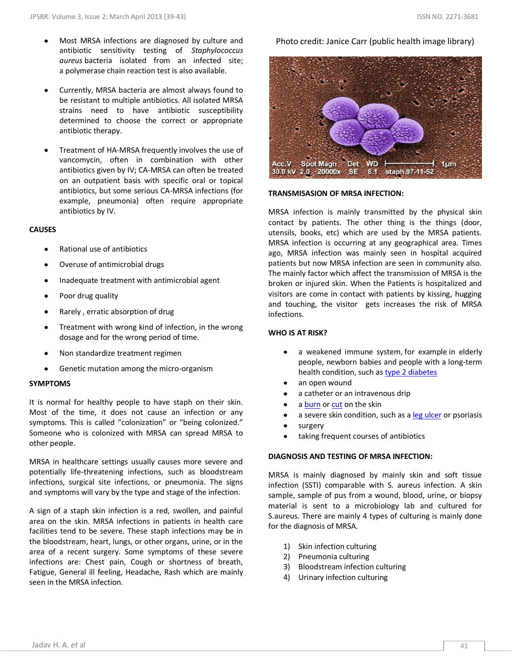- Most MRSA infections are diagnosed by culture and  $\bullet$ antibiotic sensitivity testing of *Staphylococcus aureus* bacteria isolated from an infected site; a polymerase chain reaction test is also available.
- Currently, MRSA bacteria are almost always found to be resistant to multiple antibiotics. All isolated MRSA strains need to have antibiotic susceptibility determined to choose the correct or appropriate antibiotic therapy.
- Treatment of HA-MRSA frequently involves the use of vancomycin, often in combination with other antibiotics given by IV; CA-MRSA can often be treated on an outpatient basis with specific oral or topical antibiotics, but some serious CA-MRSA infections (for example, pneumonia) often require appropriate antibiotics by IV.

# **CAUSES**

- Rational use of antibiotics
- Overuse of antimicrobial drugs
- Inadequate treatment with antimicrobial agent
- Poor drug quality  $\bullet$
- Rarely , erratic absorption of drug  $\bullet$
- Treatment with wrong kind of infection, in the wrong dosage and for the wrong period of time.
- Non standardize treatment regimen
- Genetic mutation among the micro-organism  $\bullet$

#### **SYMPTOMS**

It is normal for healthy people to have staph on their skin. Most of the time, it does not cause an infection or any symptoms. This is called "colonization" or "being colonized." Someone who is colonized with MRSA can spread MRSA to other people.

MRSA in healthcare settings usually causes more severe and potentially life-threatening infections, such as bloodstream infections, surgical site infections, or pneumonia. The signs and symptoms will vary by the type and stage of the infection.

A sign of a staph skin infection is a red, swollen, and painful area on the skin. MRSA infections in patients in health care facilities tend to be severe. These staph infections may be in the bloodstream, heart, lungs, or other organs, urine, or in the area of a recent surgery. Some symptoms of these severe infections are: Chest pain, Cough or shortness of breath, Fatigue, General ill feeling, Headache, Rash which are mainly seen in the MRSA infection.

Photo credit: Janice Carr (public health image library)



# **TRANSMISASION OF MRSA INFECTION:**

MRSA infection is mainly transmitted by the physical skin contact by patients. The other thing is the things (door, utensils, books, etc) which are used by the MRSA patients. MRSA infection is occurring at any geographical area. Times ago, MRSA infection was mainly seen in hospital acquired patients but now MRSA infection are seen in community also. The mainly factor which affect the transmission of MRSA is the broken or injured skin. When the Patients is hospitalized and visitors are come in contact with patients by kissing, hugging and touching, the visitor gets increases the risk of MRSA infections.

# **WHO IS AT RISK?**

- a weakened immune system, for example in elderly  $\bullet$ people, newborn babies and people with a long-term health condition, such as [type 2 diabetes](http://www.nhs.uk/conditions/Diabetes-type2/Pages/Introduction.aspx)
- an open wound  $\bullet$
- a catheter or an intravenous drip
- a [burn](http://www.nhs.uk/conditions/Burns-and-scalds/Pages/Introduction.aspx) or [cut](http://www.nhs.uk/conditions/Cuts-and-grazes/Pages/Introduction.aspx) on the skin
- a severe skin condition, such as a [leg ulcer](http://www.nhs.uk/conditions/Psoriasis/Pages/Introduction.aspx) or psoriasis
- surgery
- taking frequent courses of antibiotics

#### **DIAGNOSIS AND TESTING OF MRSA INFECTION:**

MRSA is mainly diagnosed by mainly skin and soft tissue infection (SSTI) comparable with S. aureus infection. A skin sample, sample of pus from a wound, blood, urine, or biopsy material is sent to a microbiology lab and cultured for S.aureus. There are mainly 4 types of culturing is mainly done for the diagnosis of MRSA.

- 1) Skin infection culturing
- 2) Pneumonia culturing
- 3) Bloodstream infection culturing
- 4) Urinary infection culturing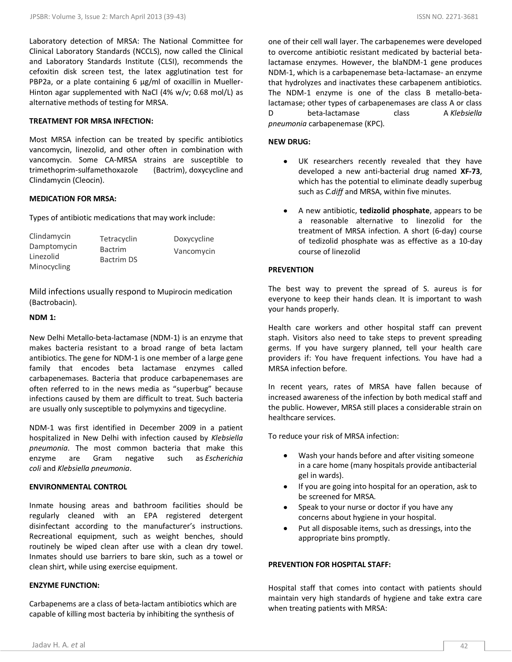Laboratory detection of MRSA: The National Committee for Clinical Laboratory Standards (NCCLS), now called the Clinical and Laboratory Standards Institute (CLSI), recommends the cefoxitin disk screen test, the latex agglutination test for PBP2a, or a plate containing 6 μg/ml of oxacillin in Mueller-Hinton agar supplemented with NaCl (4% w/v; 0.68 mol/L) as alternative methods of testing for MRSA.

### **TREATMENT FOR MRSA INFECTION:**

Most MRSA infection can be treated by specific antibiotics vancomycin, linezolid, and other often in combination with vancomycin. Some CA-MRSA strains are susceptible to trimethoprim-sulfamethoxazole (Bactrim), doxycycline and Clindamycin (Cleocin).

# **MEDICATION FOR MRSA:**

Types of antibiotic medications that may work include:

| Clindamycin | Tetracyclin       | Doxycycline |
|-------------|-------------------|-------------|
| Damptomycin | <b>Bactrim</b>    | Vancomycin  |
| Linezolid   | <b>Bactrim DS</b> |             |
| Minocycling |                   |             |

Mild infections usually respond to Mupirocin medication (Bactrobacin).

#### **NDM 1:**

New Delhi Metallo-beta-lactamase (NDM-1) is an enzyme that makes bacteria resistant to a broad range of beta lactam antibiotics. The gene for NDM-1 is one member of a large gene family that encodes beta lactamase enzymes called carbapenemases. Bacteria that produce carbapenemases are often referred to in the news media as "superbug" because infections caused by them are difficult to treat. Such bacteria are usually only susceptible to polymyxins and tigecycline.

NDM-1 was first identified in December 2009 in a patient hospitalized in New Delhi with infection caused by *Klebsiella pneumonia*. The most common bacteria that make this enzyme are Gram negative such as *Escherichia coli* and *Klebsiella pneumonia*.

## **ENVIRONMENTAL CONTROL**

Inmate housing areas and bathroom facilities should be regularly cleaned with an EPA registered detergent disinfectant according to the manufacturer's instructions. Recreational equipment, such as weight benches, should routinely be wiped clean after use with a clean dry towel. Inmates should use barriers to bare skin, such as a towel or clean shirt, while using exercise equipment.

# **ENZYME FUNCTION:**

Carbapenems are a class of beta-lactam antibiotics which are capable of killing most bacteria by inhibiting the synthesis of

one of their cell wall layer. The carbapenemes were developed to overcome antibiotic resistant medicated by bacterial betalactamase enzymes. However, the blaNDM-1 gene produces NDM-1, which is a carbapenemase beta-lactamase- an enzyme that hydrolyzes and inactivates these carbapenem antibiotics. The NDM-1 enzyme is one of the class B metallo-betalactamase; other types of carbapenemases are class A or class D beta-lactamase class A *Klebsiella pneumonia* carbapenemase (KPC).

#### **NEW DRUG:**

- UK researchers recently revealed that they have developed a new anti-bacterial drug named **XF-73**, which has the potential to eliminate deadly superbug such as *C.diff* and MRSA, within five minutes.
- $\bullet$ A new antibiotic, **tedizolid phosphate**, appears to be a reasonable alternative to linezolid for the treatment of MRSA infection. A short (6-day) course of tedizolid phosphate was as effective as a 10-day course of linezolid

# **PREVENTION**

The best way to prevent the spread of S. aureus is for everyone to keep their hands clean. It is important to wash your hands properly.

Health care workers and other hospital staff can prevent staph. Visitors also need to take steps to prevent spreading germs. If you have surgery planned, tell your health care providers if: You have frequent infections. You have had a MRSA infection before.

In recent years, rates of MRSA have fallen because of increased awareness of the infection by both medical staff and the public. However, MRSA still places a considerable strain on healthcare services.

To reduce your risk of MRSA infection:

- Wash your hands before and after visiting someone in a care home (many hospitals provide antibacterial gel in wards).
- $\bullet$ If you are going into hospital for an operation, ask to be screened for MRSA.
- Speak to your nurse or doctor if you have any concerns about hygiene in your hospital.
- Put all disposable items, such as dressings, into the  $\bullet$ appropriate bins promptly.

# **PREVENTION FOR HOSPITAL STAFF:**

Hospital staff that comes into contact with patients should maintain very high standards of hygiene and take extra care when treating patients with MRSA: